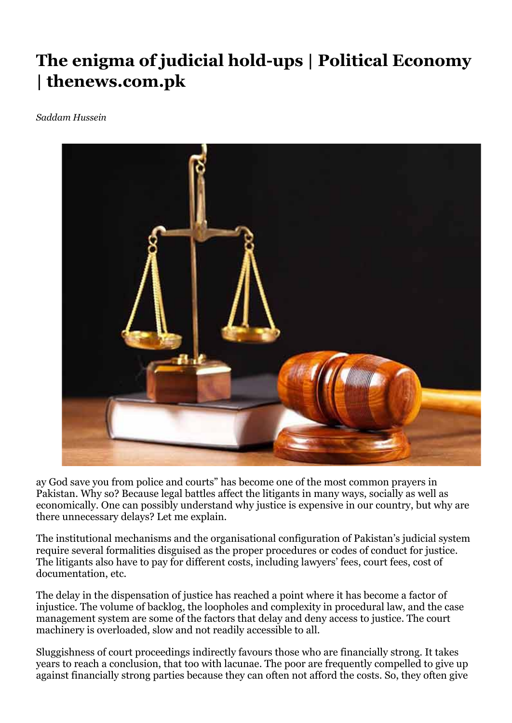## **The enigma of judicial hold-ups | Political Economy | thenews.com.pk**

*Saddam Hussein*



ay God save you from police and courts" has become one of the most common prayers in Pakistan. Why so? Because legal battles affect the litigants in many ways, socially as well as economically. One can possibly understand why justice is expensive in our country, but why are there unnecessary delays? Let me explain.

The institutional mechanisms and the organisational configuration of Pakistan's judicial system require several formalities disguised as the proper procedures or codes of conduct for justice. The litigants also have to pay for different costs, including lawyers' fees, court fees, cost of documentation, etc.

The delay in the dispensation of justice has reached a point where it has become a factor of injustice. The volume of backlog, the loopholes and complexity in procedural law, and the case management system are some of the factors that delay and deny access to justice. The court machinery is overloaded, slow and not readily accessible to all.

Sluggishness of court proceedings indirectly favours those who are financially strong. It takes years to reach a conclusion, that too with lacunae. The poor are frequently compelled to give up against financially strong parties because they can often not afford the costs. So, they often give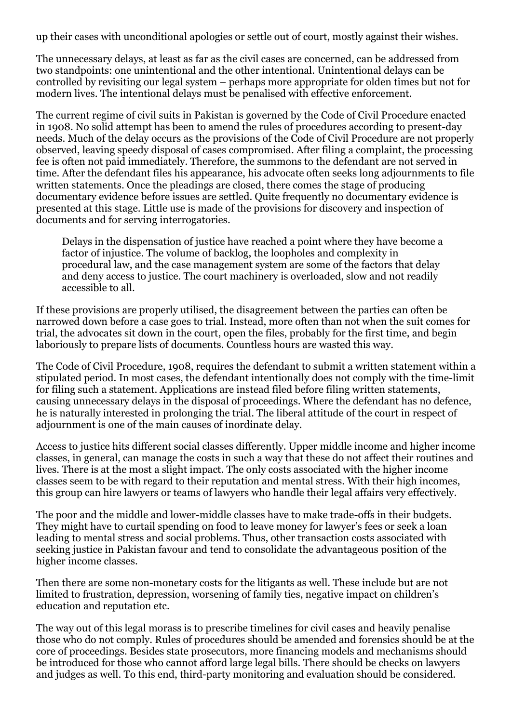up their cases with unconditional apologies or settle out of court, mostly against their wishes.

The unnecessary delays, at least as far as the civil cases are concerned, can be addressed from two standpoints: one unintentional and the other intentional. Unintentional delays can be controlled by revisiting our legal system – perhaps more appropriate for olden times but not for modern lives. The intentional delays must be penalised with effective enforcement.

The current regime of civil suits in Pakistan is governed by the Code of Civil Procedure enacted in 1908. No solid attempt has been to amend the rules of procedures according to present-day needs. Much of the delay occurs as the provisions of the Code of Civil Procedure are not properly observed, leaving speedy disposal of cases compromised. After filing a complaint, the processing fee is often not paid immediately. Therefore, the summons to the defendant are not served in time. After the defendant files his appearance, his advocate often seeks long adjournments to file written statements. Once the pleadings are closed, there comes the stage of producing documentary evidence before issues are settled. Quite frequently no documentary evidence is presented at this stage. Little use is made of the provisions for discovery and inspection of documents and for serving interrogatories.

Delays in the dispensation of justice have reached a point where they have become a factor of injustice. The volume of backlog, the loopholes and complexity in procedural law, and the case management system are some of the factors that delay and deny access to justice. The court machinery is overloaded, slow and not readily accessible to all.

If these provisions are properly utilised, the disagreement between the parties can often be narrowed down before a case goes to trial. Instead, more often than not when the suit comes for trial, the advocates sit down in the court, open the files, probably for the first time, and begin laboriously to prepare lists of documents. Countless hours are wasted this way.

The Code of Civil Procedure, 1908, requires the defendant to submit a written statement within a stipulated period. In most cases, the defendant intentionally does not comply with the time-limit for filing such a statement. Applications are instead filed before filing written statements, causing unnecessary delays in the disposal of proceedings. Where the defendant has no defence, he is naturally interested in prolonging the trial. The liberal attitude of the court in respect of adjournment is one of the main causes of inordinate delay.

Access to justice hits different social classes differently. Upper middle income and higher income classes, in general, can manage the costs in such a way that these do not affect their routines and lives. There is at the most a slight impact. The only costs associated with the higher income classes seem to be with regard to their reputation and mental stress. With their high incomes, this group can hire lawyers or teams of lawyers who handle their legal affairs very effectively.

The poor and the middle and lower-middle classes have to make trade-offs in their budgets. They might have to curtail spending on food to leave money for lawyer's fees or seek a loan leading to mental stress and social problems. Thus, other transaction costs associated with seeking justice in Pakistan favour and tend to consolidate the advantageous position of the higher income classes.

Then there are some non-monetary costs for the litigants as well. These include but are not limited to frustration, depression, worsening of family ties, negative impact on children's education and reputation etc.

The way out of this legal morass is to prescribe timelines for civil cases and heavily penalise those who do not comply. Rules of procedures should be amended and forensics should be at the core of proceedings. Besides state prosecutors, more financing models and mechanisms should be introduced for those who cannot afford large legal bills. There should be checks on lawyers and judges as well. To this end, third-party monitoring and evaluation should be considered.